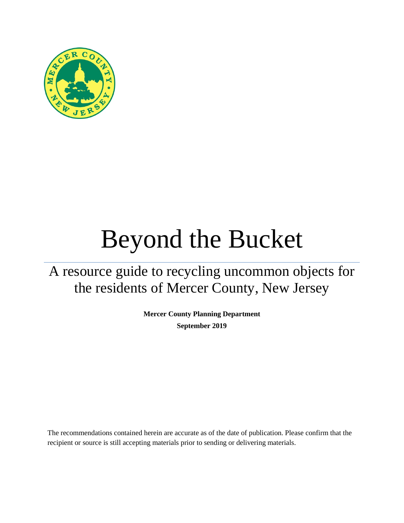

# Beyond the Bucket

A resource guide to recycling uncommon objects for the residents of Mercer County, New Jersey

> **Mercer County Planning Department September 2019**

The recommendations contained herein are accurate as of the date of publication. Please confirm that the recipient or source is still accepting materials prior to sending or delivering materials.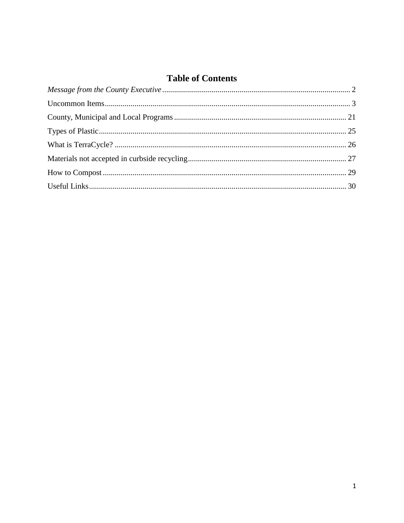## **Table of Contents**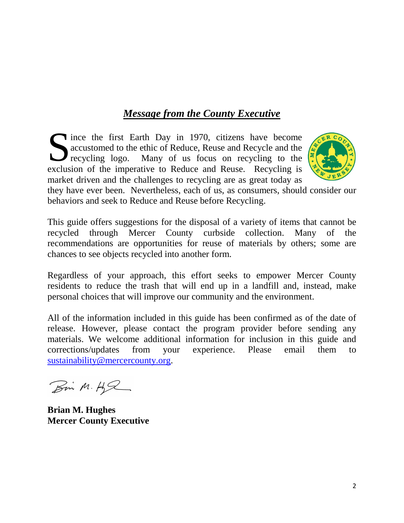## *Message from the County Executive*

<span id="page-2-0"></span>Since the first Earth Day in 1970, citizens have become accustomed to the ethic of Reduce, Reuse and Recycle and the recycling logo. Many of us focus on recycling to the exclusion of the imperative to Reduce and Reuse. Rec accustomed to the ethic of Reduce, Reuse and Recycle and the recycling logo. Many of us focus on recycling to the exclusion of the imperative to Reduce and Reuse. Recycling is market driven and the challenges to recycling are as great today as



they have ever been. Nevertheless, each of us, as consumers, should consider our behaviors and seek to Reduce and Reuse before Recycling.

This guide offers suggestions for the disposal of a variety of items that cannot be recycled through Mercer County curbside collection. Many of the recommendations are opportunities for reuse of materials by others; some are chances to see objects recycled into another form.

Regardless of your approach, this effort seeks to empower Mercer County residents to reduce the trash that will end up in a landfill and, instead, make personal choices that will improve our community and the environment.

All of the information included in this guide has been confirmed as of the date of release. However, please contact the program provider before sending any materials. We welcome additional information for inclusion in this guide and corrections/updates from your experience. Please email them to [sustainability@mercercounty.org.](mailto:sustainability@mercercounty.org)

Bin M.H.R

**Brian M. Hughes Mercer County Executive**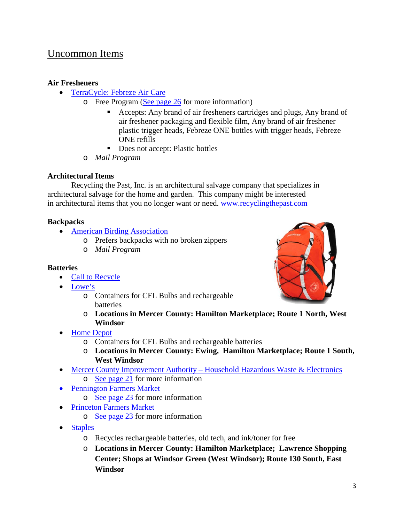## <span id="page-3-0"></span>Uncommon Items

#### **Air Fresheners**

- [TerraCycle:](https://www.terracycle.com/en-US/brigades/febrez) Febreze Air Care
	- o Free Program [\(See page 26](#page-26-0) for more information)
		- Accepts: Any brand of air fresheners cartridges and plugs, Any brand of air freshener packaging and flexible film, Any brand of air freshener plastic trigger heads, Febreze ONE bottles with trigger heads, Febreze ONE refills
		- Does not accept: Plastic bottles
	- o *Mail Program*

#### **Architectural Items**

Recycling the Past, Inc. is an architectural salvage company that specializes in architectural salvage for the home and garden. This company might be interested in architectural items that you no longer want or need. www.recyclingthepast.com

#### **Backpacks**

- [American Birding Association](http://bex.aba.org/items/)
	- o Prefers backpacks with no broken zippers
	- o *Mail Program*

#### **Batteries**

- [Call to Recycle](https://www.call2recycle.org/)
- [Lowe's](https://newsroom.lowes.com/fresh-thinking/lowes-recycle-responsibly-wishcycling/)
	- o Containers for CFL Bulbs and rechargeable batteries
	- o **Locations in Mercer County: Hamilton Marketplace; Route 1 North, West Windsor**
- Home Depot
	- o Containers for CFL Bulbs and rechargeable batteries
	- o **Locations in Mercer County: Ewing, Hamilton Marketplace; Route 1 South, West Windsor**
- Mercer County Improvement Authority [Household Hazardous Waste & Electronics](http://www.mcianj.org/HHW)  $\circ$  [See page](#page-21-0) 21 for more information
- [Pennington Farmers Market](https://penningtonfarmersmarket.org/)
	- $\circ$  [See page](#page-23-0) 23 for more information
- [Princeton Farmers Market](https://www.princetonfarmersmarket.com/)
	- o [See page](#page-23-1) 23 for more information
- [Staples](https://www.staples.com/sbd/cre/marketing/sustainability-center/recycling-services/)
	- o Recycles rechargeable batteries, old tech, and ink/toner for free
	- o **Locations in Mercer County: Hamilton Marketplace; Lawrence Shopping Center; Shops at Windsor Green (West Windsor); Route 130 South, East Windsor**

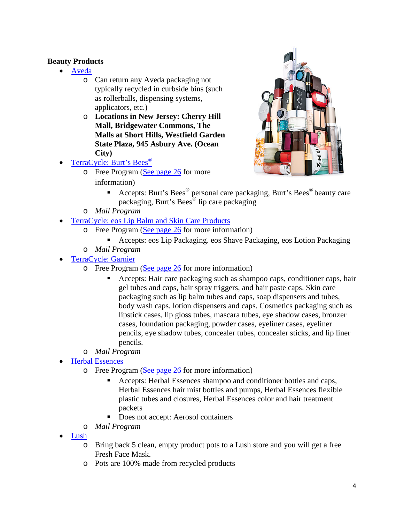#### **Beauty Products**

- [Aveda](https://www.aveda.com/)
	- o Can return any Aveda packaging not typically recycled in curbside bins (such as rollerballs, dispensing systems, applicators, etc.)
	- o **Locations in New Jersey: Cherry Hill Mall, Bridgewater Commons, The Malls at Short Hills, Westfield Garden State Plaza, 945 Asbury Ave. (Ocean City)**
- [TerraCycle: Burt's Bees](https://www.terracycle.com/en-US/brigades/burt-s-bees-recycle-on-us)<sup>®</sup>
	- o Free Program [\(See page 26](#page-26-0) for more information)



- Accepts: Burt's Bees<sup>®</sup> personal care packaging, Burt's Bees<sup>®</sup> beauty care packaging, Burt's Bees® lip care packaging
- o *Mail Program*
- [TerraCycle: eos Lip Balm and Skin Care Products](https://www.terracycle.com/en-US/brigades/eos)
	- o Free Program [\(See page 26](#page-26-0) for more information)
		- Accepts: eos Lip Packaging. eos Shave Packaging, eos Lotion Packaging
	- o *Mail Program*
- [TerraCycle:](https://www.terracycle.com/en-US/brigades/personal-care-and-beauty-brigade-r) Garnier
	- $\circ$  Free Program [\(See page 26](#page-26-0) for more information)
		- Accepts: Hair care packaging such as shampoo caps, conditioner caps, hair gel tubes and caps, hair spray triggers, and hair paste caps. Skin care packaging such as lip balm tubes and caps, soap dispensers and tubes, body wash caps, lotion dispensers and caps. Cosmetics packaging such as lipstick cases, lip gloss tubes, mascara tubes, eye shadow cases, bronzer cases, foundation packaging, powder cases, eyeliner cases, eyeliner pencils, eye shadow tubes, concealer tubes, concealer sticks, and lip liner pencils.
	- o *Mail Program*
- [Herbal](https://www.terracycle.com/en-US/brigades/herbal-essences) Essences
	- $\circ$  Free Program [\(See page 26](#page-26-0) for more information)
		- Accepts: Herbal Essences shampoo and conditioner bottles and caps, Herbal Essences hair mist bottles and pumps, Herbal Essences flexible plastic tubes and closures, Herbal Essences color and hair treatment packets
		- Does not accept: Aerosol containers
	- o *Mail Program*
- [Lush](https://www.lushusa.com/null/5-pot-program,en_US,pg.html)
	- o Bring back 5 clean, empty product pots to a Lush store and you will get a free Fresh Face Mask.
	- o Pots are 100% made from recycled products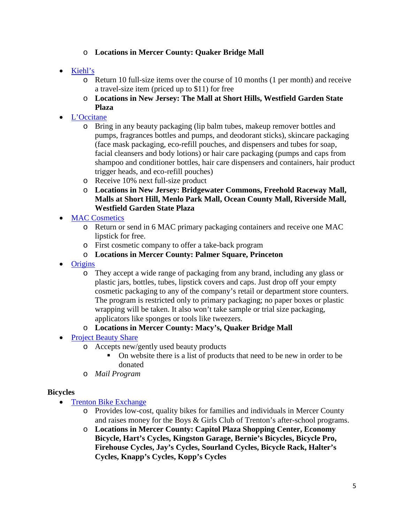#### o **Locations in Mercer County: Quaker Bridge Mall**

- [Kiehl's](https://www.kiehls.com/recycle-and-be-rewarded)
	- o Return 10 full-size items over the course of 10 months (1 per month) and receive a travel-size item (priced up to \$11) for free
	- o **Locations in New Jersey: The Mall at Short Hills, Westfield Garden State Plaza**
- [L'Occitane](https://www.terracycle.com/en-US/brigades/loccitane)
	- o Bring in any beauty packaging (lip balm tubes, makeup remover bottles and pumps, fragrances bottles and pumps, and deodorant sticks), skincare packaging (face mask packaging, eco-refill pouches, and dispensers and tubes for soap, facial cleansers and body lotions) or hair care packaging (pumps and caps from shampoo and conditioner bottles, hair care dispensers and containers, hair product trigger heads, and eco-refill pouches)
	- o Receive 10% next full-size product
	- o **Locations in New Jersey: Bridgewater Commons, Freehold Raceway Mall, Malls at Short Hill, Menlo Park Mall, Ocean County Mall, Riverside Mall, Westfield Garden State Plaza**
- **[MAC Cosmetics](https://www.maccosmetics.com/giving_back/printable_form.tmpl)** 
	- o Return or send in 6 MAC primary packaging containers and receive one MAC lipstick for free.
	- o First cosmetic company to offer a take-back program
	- o **Locations in Mercer County: Palmer Square, Princeton**
- [Origins](https://www.origins.com/origins-mission)
	- o They accept a wide range of packaging from any brand, including any glass or plastic jars, bottles, tubes, lipstick covers and caps. Just drop off your empty cosmetic packaging to any of the company's retail or department store counters. The program is restricted only to primary packaging; no paper boxes or plastic wrapping will be taken. It also won't take sample or trial size packaging, applicators like sponges or tools like tweezers.

#### o **Locations in Mercer County: Macy's, Quaker Bridge Mall**

- [Project Beauty Share](https://projectbeautyshare.org/what-we-accept/)
	- o Accepts new/gently used beauty products
		- On website there is a list of products that need to be new in order to be donated
	- o *Mail Program*

#### **Bicycles**

- Trenton Bike Exchange
	- o Provides low-cost, quality bikes for families and individuals in Mercer County and raises money for the Boys & Girls Club of Trenton's after-school programs.
	- o **Locations in Mercer County: Capitol Plaza Shopping Center, Economy Bicycle, Hart's Cycles, Kingston Garage, Bernie's Bicycles, Bicycle Pro, Firehouse Cycles, Jay's Cycles, Sourland Cycles, Bicycle Rack, Halter's Cycles, Knapp's Cycles, Kopp's Cycles**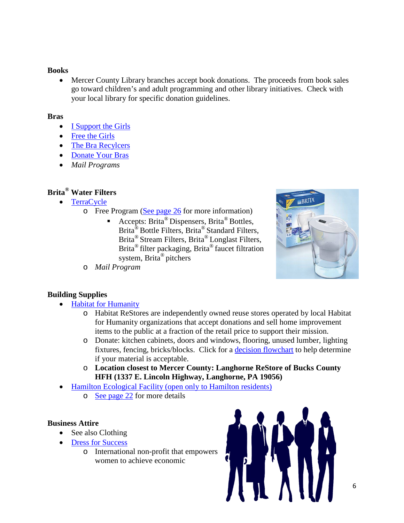#### **Books**

• Mercer County Library branches accept book donations. The proceeds from book sales go toward children's and adult programming and other library initiatives. Check with your local library for specific donation guidelines.

#### **Bras**

- [I Support the Girls](https://isupportthegirls.org/)
- [Free the Girls](https://freethegirls.org/bras)
- [The Bra Recylcers](https://www.brarecycling.com/)
- [Donate Your Bras](http://donateyourbra.com/)
- *Mail Programs*

## **Brita® Water Filters**

- [TerraCycle](https://www.terracycle.com/en-US/brigades/brita-brigade)
	- o Free Program [\(See page 26](#page-26-0) for more information)
		- Accepts: Brita<sup>®</sup> Dispensers, Brita<sup>®</sup> Bottles, Brita® Bottle Filters, Brita® Standard Filters, Brita® Stream Filters, Brita® Longlast Filters, Brita® filter packaging, Brita® faucet filtration system, Brita® pitchers



o *Mail Program*

#### **Building Supplies**

- [Habitat for Humanity](https://www.habitat.org/restores/donate-goods)
	- o Habitat ReStores are independently owned reuse stores operated by local Habitat for Humanity organizations that accept donations and sell home improvement items to the public at a fraction of the retail price to support their mission.
	- o Donate: kitchen cabinets, doors and windows, flooring, unused lumber, lighting fixtures, fencing, bricks/blocks. Click for a [decision flowchart](https://www.habitat.org/stories/should-i-donate-habitat-restore) to help determine if your material is acceptable.
	- o **Location closest to Mercer County: Langhorne ReStore of Bucks County HFH (1337 E. Lincoln Highway, Langhorne, PA 19056)**
- [Hamilton Ecological Facility \(open only to Hamilton residents\)](http://www.hamiltonnj.com/content/228309/231180/default.aspx)
	- o [See page](#page-22-0) 22 for more details

#### **Business Attire**

- See also Clothing
- [Dress for Success](https://centralnj.dressforsuccess.org/)
	- o International non-profit that empowers women to achieve economic

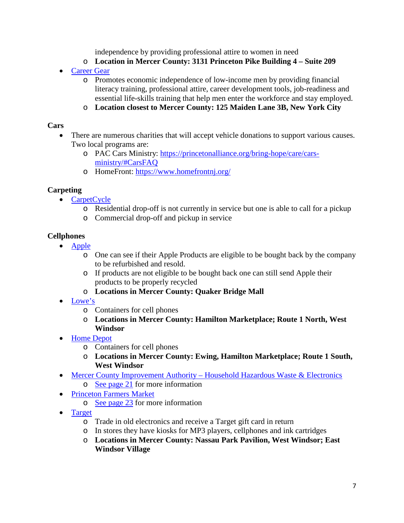independence by providing professional attire to women in need

- o **Location in Mercer County: 3131 Princeton Pike Building 4 – Suite 209**
- [Career Gear](http://careergear.org/)
	- o Promotes economic independence of low-income men by providing financial literacy training, professional attire, career development tools, job-readiness and essential life-skills training that help men enter the workforce and stay employed.
	- o **Location closest to Mercer County: 125 Maiden Lane 3B, New York City**

#### **Cars**

- There are numerous charities that will accept vehicle donations to support various causes. Two local programs are:
	- o PAC Cars Ministry: [https://princetonalliance.org/bring-hope/care/cars](https://princetonalliance.org/bring-hope/care/cars-ministry/#CarsFAQ)[ministry/#CarsFAQ](https://princetonalliance.org/bring-hope/care/cars-ministry/#CarsFAQ)
	- o HomeFront:<https://www.homefrontnj.org/>

#### **Carpeting**

- [CarpetCycle](http://www.carpetcycle.com/)
	- o Residential drop-off is not currently in service but one is able to call for a pickup
	- o Commercial drop-off and pickup in service

#### **Cellphones**

- [Apple](https://www.apple.com/shop/trade-in)
	- o One can see if their Apple Products are eligible to be bought back by the company to be refurbished and resold.
	- o If products are not eligible to be bought back one can still send Apple their products to be properly recycled
	- o **Locations in Mercer County: Quaker Bridge Mall**
- [Lowe's](https://newsroom.lowes.com/fresh-thinking/lowes-recycle-responsibly-wishcycling/)
	- o Containers for cell phones
	- o **Locations in Mercer County: Hamilton Marketplace; Route 1 North, West Windsor**
- Home Depot
	- o Containers for cell phones
	- o **Locations in Mercer County: Ewing, Hamilton Marketplace; Route 1 South, West Windsor**
- Mercer County Improvement Authority [Household Hazardous Waste & Electronics](http://www.mcianj.org/HHW)
	- o [See page 21](#page-21-0) for more information
- [Princeton Farmers Market](https://www.princetonfarmersmarket.com/)
	- $\circ$  [See page 23](#page-23-0) for more information
- [Target](https://targettrade-in.com/online/home/index.rails)
	- o Trade in old electronics and receive a Target gift card in return
	- o In stores they have kiosks for MP3 players, cellphones and ink cartridges
	- o **Locations in Mercer County: Nassau Park Pavilion, West Windsor; East Windsor Village**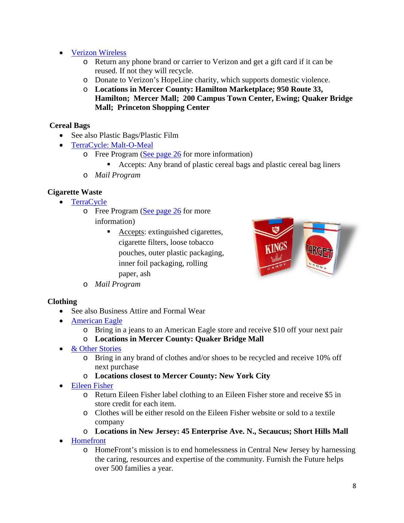- [Verizon Wireless](https://www.verizonwireless.com/articles/what-to-do-with-your-old-smartphone/)
	- o Return any phone brand or carrier to Verizon and get a gift card if it can be reused. If not they will recycle.
	- o Donate to Verizon's HopeLine charity, which supports domestic violence.
	- o **Locations in Mercer County: Hamilton Marketplace; 950 Route 33, Hamilton; Mercer Mall; 200 Campus Town Center, Ewing; Quaker Bridge Mall; Princeton Shopping Center**

#### **Cereal Bags**

- See also Plastic Bags/Plastic Film
- [TerraCycle:](https://www.terracycle.com/en-US/brigades/mom-brands-cereal-bag-brigade) Malt-O-Meal
	- o Free Program [\(See page 26](#page-26-0) for more information)
		- Accepts: Any brand of plastic cereal bags and plastic cereal bag liners
	- o *Mail Program*

#### **Cigarette Waste**

- [TerraCycle](https://www.terracycle.com/en-US/brigades/cigarette-waste-recycling)
	- o Free Program [\(See page](#page-26-0) 26 for more information)
		- Accepts: extinguished cigarettes, cigarette filters, loose tobacco pouches, outer plastic packaging, inner foil packaging, rolling paper, ash



o *Mail Program*

#### **Clothing**

- See also Business Attire and Formal Wear
- [American Eagle](http://www.blog.ae.com/2019/04/01/donate-your-old-jeans-take-10-off-your-new-favorite-pair/)
	- o Bring in a jeans to an American Eagle store and receive \$10 off your next pair
	- o **Locations in Mercer County: Quaker Bridge Mall**
- [& Other Stories](https://www.stories.com/en_usd/customer-service/recycling.html)
	- o Bring in any brand of clothes and/or shoes to be recycled and receive 10% off next purchase
	- o **Locations closest to Mercer County: New York City**
- [Eileen Fisher](https://www.eileenfisherrenew.com/)
	- o Return Eileen Fisher label clothing to an Eileen Fisher store and receive \$5 in store credit for each item.
	- o Clothes will be either resold on the Eileen Fisher website or sold to a textile company
	- o **Locations in New Jersey: 45 Enterprise Ave. N., Secaucus; Short Hills Mall**
- [Homefront](https://www.homefrontnj.org/)
	- o HomeFront's mission is to end homelessness in Central New Jersey by harnessing the caring, resources and expertise of the community. Furnish the Future helps over 500 families a year.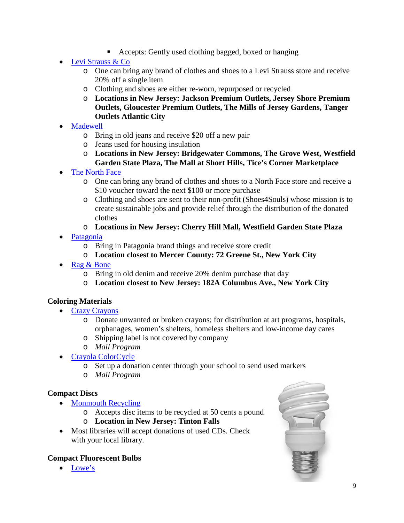- Accepts: Gently used clothing bagged, boxed or hanging
- [Levi Strauss & Co](https://www.levistrauss.com/2015/07/21/clothing-recycling-us-expansion/)
	- o One can bring any brand of clothes and shoes to a Levi Strauss store and receive 20% off a single item
	- o Clothing and shoes are either re-worn, repurposed or recycled
	- o **Locations in New Jersey: Jackson Premium Outlets, Jersey Shore Premium Outlets, Gloucester Premium Outlets, The Mills of Jersey Gardens, Tanger Outlets Atlantic City**
- **[Madewell](https://www.madewell.com/inspo-do-well-denim-recycling-landing.html)** 
	- o Bring in old jeans and receive \$20 off a new pair
	- o Jeans used for housing insulation
	- o **Locations in New Jersey: Bridgewater Commons, The Grove West, Westfield Garden State Plaza, The Mall at Short Hills, Tice's Corner Marketplace**
- **[The North Face](https://www.thenorthface.com/about-us/responsibility/product/clothes-the-loop.html)** 
	- o One can bring any brand of clothes and shoes to a North Face store and receive a \$10 voucher toward the next \$100 or more purchase
	- o Clothing and shoes are sent to their non-profit (Shoes4Souls) whose mission is to create sustainable jobs and provide relief through the distribution of the donated clothes
	- o **Locations in New Jersey: Cherry Hill Mall, Westfield Garden State Plaza**
- [Patagonia](https://wornwear.patagonia.com/)
	- o Bring in Patagonia brand things and receive store credit
	- o **Location closest to Mercer County: 72 Greene St., New York City**
- [Rag & Bone](https://www.rag-bone.com/denim-recycling.html)
	- o Bring in old denim and receive 20% denim purchase that day
	- o **Location closest to New Jersey: 182A Columbus Ave., New York City**

#### **Coloring Materials**

- [Crazy Crayons](https://crazycrayons.com/recycle-program/)
	- o Donate unwanted or broken crayons; for distribution at art programs, hospitals, orphanages, women's shelters, homeless shelters and low-income day cares
	- o Shipping label is not covered by company
	- o *Mail Program*
- [Crayola ColorCycle](https://www.crayola.com/colorcycle)
	- o Set up a donation center through your school to send used markers
	- o *Mail Program*

#### **Compact Discs**

- [Monmouth Recycling](http://www.computerreclamation.com/)
	- o Accepts disc items to be recycled at 50 cents a pound
	- o **Location in New Jersey: Tinton Falls**
- Most libraries will accept donations of used CDs. Check with your local library.

#### **Compact Fluorescent Bulbs**

• [Lowe's](https://newsroom.lowes.com/fresh-thinking/lowes-recycle-responsibly-wishcycling/)

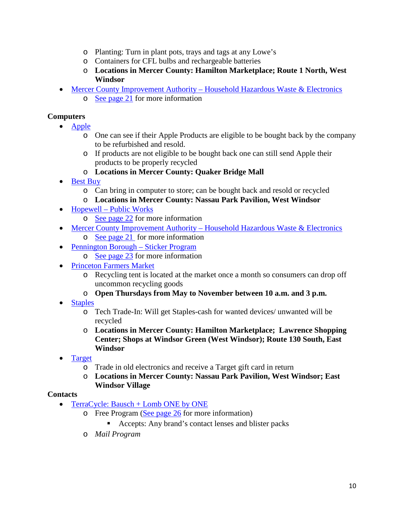- o Planting: Turn in plant pots, trays and tags at any Lowe's
- o Containers for CFL bulbs and rechargeable batteries
- o **Locations in Mercer County: Hamilton Marketplace; Route 1 North, West Windsor**
- **Mercer County Improvement Authority [Household Hazardous Waste & Electronics](http://www.mcianj.org/HHW)** 
	- o [See page 21](#page-21-0) for more information

#### **Computers**

- [Apple](https://www.apple.com/shop/trade-in)
	- o One can see if their Apple Products are eligible to be bought back by the company to be refurbished and resold.
	- o If products are not eligible to be bought back one can still send Apple their products to be properly recycled
	- o **Locations in Mercer County: Quaker Bridge Mall**
- [Best Buy](https://www.bestbuy.com/site/services/recycling/pcmcat149900050025.c?id=pcmcat149900050025)
	- o Can bring in computer to store; can be bought back and resold or recycled
	- o **Locations in Mercer County: Nassau Park Pavilion, West Windsor**
- Hopewell [Public Works](https://www.hopewelltwp.org/173/Public-Works)
	- o [See page](#page-22-1) 22 for more information
- Mercer County Improvement Authority [Household Hazardous Waste & Electronics](http://www.mcianj.org/HHW)  $\circ$  [See page](#page-21-0) 21 for more information
- [Pennington Borough –](https://www.penningtonboro.org/notices/2019-Trash-Recycling-Info.pdf) Sticker Program
	- o [See page](#page-23-2) 23 for more information
- [Princeton Farmers Market](https://www.princetonfarmersmarket.com/)
	- o Recycling tent is located at the market once a month so consumers can drop off uncommon recycling goods
	- o **Open Thursdays from May to November between 10 a.m. and 3 p.m.**
- **[Staples](https://www.staples.com/sbd/cre/marketing/sustainability-center/recycling-services/)** 
	- o Tech Trade-In: Will get Staples-cash for wanted devices/ unwanted will be recycled
	- o **Locations in Mercer County: Hamilton Marketplace; Lawrence Shopping Center; Shops at Windsor Green (West Windsor); Route 130 South, East Windsor**
- **[Target](https://targettrade-in.com/online/home/index.rails)** 
	- o Trade in old electronics and receive a Target gift card in return
	- o **Locations in Mercer County: Nassau Park Pavilion, West Windsor; East Windsor Village**

#### **Contacts**

- [TerraCycle:](https://www.terracycle.com/en-US/brigades/bauschrecycles) Bausch + Lomb ONE by ONE
	- $\circ$  Free Program [\(See page 26](#page-26-0) for more information)
		- Accepts: Any brand's contact lenses and blister packs
	- o *Mail Program*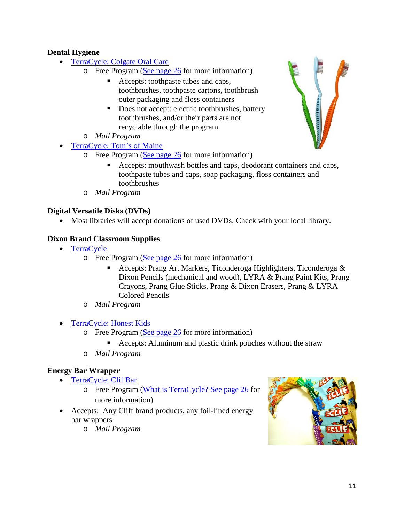#### **Dental Hygiene**

- [TerraCycle: Colgate Oral Care](https://www.terracycle.com/en-US/brigades/colgate)
	- o Free Program [\(See page 26](#page-26-0) for more information)
		- Accepts: toothpaste tubes and caps, toothbrushes, toothpaste cartons, toothbrush outer packaging and floss containers
		- Does not accept: electric toothbrushes, battery toothbrushes, and/or their parts are not recyclable through the program
		- o *Mail Program*
- [TerraCycle: Tom's of Maine](https://www.terracycle.com/en-US/brigades/tom-s-of-maine-natural-care-brigade)
	- $\circ$  Free Program [\(See page 26](#page-25-1) for more information)
		- Accepts: mouthwash bottles and caps, deodorant containers and caps, toothpaste tubes and caps, soap packaging, floss containers and toothbrushes
	- o *Mail Program*

#### **Digital Versatile Disks (DVDs)**

• Most libraries will accept donations of used DVDs. Check with your local library.

#### **Dixon Brand Classroom Supplies**

- [TerraCycle](https://www.terracycle.com/en-US/brigades/dixon)
	- o Free Program [\(See page 26](#page-26-0) for more information)
		- Accepts: Prang Art Markers, Ticonderoga Highlighters, Ticonderoga & Dixon Pencils (mechanical and wood), LYRA & Prang Paint Kits, Prang Crayons, Prang Glue Sticks, Prang & Dixon Erasers, Prang & LYRA Colored Pencils
	- o *Mail Program*
	- [TerraCycle:](https://www.terracycle.com/en-US/brigades/honest-kids) Honest Kids
		- o Free Program [\(See page 26](#page-26-0) for more information)
			- **Accepts:** Aluminum and plastic drink pouches without the straw
		- o *Mail Program*

#### **Energy Bar Wrapper**

- [TerraCycle:](https://www.terracycle.com/en-US/brigades/clifbar) Clif Bar
	- o Free Program [\(What is TerraCycle?](#page-25-1) [See page 26](#page-26-0) for more information)
- Accepts: Any Cliff brand products, any foil-lined energy bar wrappers
	- o *Mail Program*



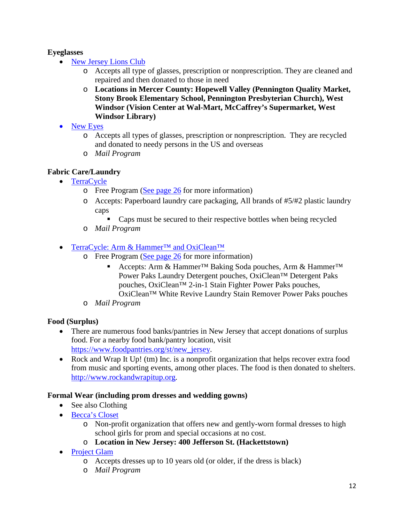#### **Eyeglasses**

- **[New Jersey Lions](http://www.njlerc.org/) Club** 
	- o Accepts all type of glasses, prescription or nonprescription. They are cleaned and repaired and then donated to those in need
	- o **Locations in Mercer County: Hopewell Valley (Pennington Quality Market, Stony Brook Elementary School, Pennington Presbyterian Church), West Windsor (Vision Center at Wal-Mart, McCaffrey's Supermarket, West Windsor Library)**
- [New Eyes](https://new-eyes.org/)
	- o Accepts all types of glasses, prescription or nonprescription. They are recycled and donated to needy persons in the US and overseas
	- o *Mail Program*

#### **Fabric Care/Laundry**

- [TerraCycle](https://www.terracycle.com/en-US/brigades/tide)
	- o Free Program [\(See page 26](#page-26-0) for more information)
	- o Accepts: Paperboard laundry care packaging, All brands of #5/#2 plastic laundry caps
		- Caps must be secured to their respective bottles when being recycled
	- o *Mail Program*
- TerraCycle: Arm & Hammer<sup>™</sup> and OxiClean<sup>™</sup>
	- $\circ$  Free Program [\(See page 26](#page-26-0) for more information)
		- Accepts: Arm & Hammer™ Baking Soda pouches, Arm & Hammer™ Power Paks Laundry Detergent pouches, OxiClean™ Detergent Paks pouches, OxiClean™ 2-in-1 Stain Fighter Power Paks pouches, OxiClean™ White Revive Laundry Stain Remover Power Paks pouches
	- o *Mail Program*

#### **Food (Surplus)**

- There are numerous food banks/pantries in New Jersey that accept donations of surplus food. For a nearby food bank/pantry location, visit [https://www.foodpantries.org/st/new\\_jersey.](https://www.foodpantries.org/st/new_jersey)
- Rock and Wrap It Up! (tm) Inc. is a nonprofit organization that helps recover extra food from music and sporting events, among other places. The food is then donated to shelters. [http://www.rockandwrapitup.org.](http://www.rockandwrapitup.org/)

#### **Formal Wear (including prom dresses and wedding gowns)**

- See also Clothing
- [Becca's Closet](https://www.beccascloset.org/beccas-closet-chapters/beccas-closet-chapters-filtered/?chapter_name&zip&state=nj)
	- o Non-profit organization that offers new and gently-worn formal dresses to high school girls for prom and special occasions at no cost.
	- o **Location in New Jersey: 400 Jefferson St. (Hackettstown)**
- [Project Glam](http://wgirls.org/project-glam/)
	- o Accepts dresses up to 10 years old (or older, if the dress is black)
	- o *Mail Program*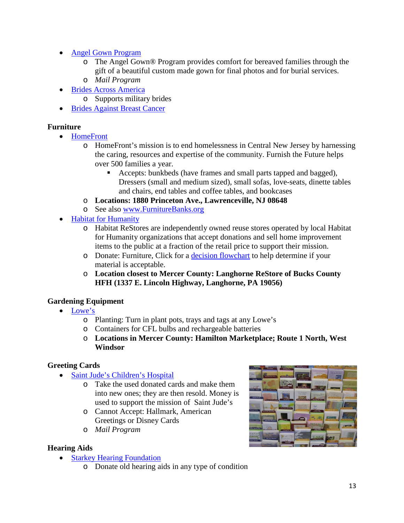- [Angel Gown Program](https://www.nicuhelpinghands.org/programs/angel-gown-program/wedding-gown-donation-faq/)
	- o The Angel Gown® Program provides comfort for bereaved families through the gift of a beautiful custom made gown for final photos and for burial services.
	- o *Mail Program*
- [Brides Across America](https://www.bridesacrossamerica.com/giving/give-a-dress)
	- o Supports military brides
- [Brides Against Breast Cancer](https://www.bridesagainstbreastcancer.org/)

#### **Furniture**

- [HomeFront](https://www.homefrontnj.org/)
	- o HomeFront's mission is to end homelessness in Central New Jersey by harnessing the caring, resources and expertise of the community. Furnish the Future helps over 500 families a year.
		- Accepts: bunkbeds (have frames and small parts tapped and bagged), Dressers (small and medium sized), small sofas, love-seats, dinette tables and chairs, end tables and coffee tables, and bookcases
	- o **Locations: 1880 Princeton Ave., Lawrenceville, NJ 08648**
	- o See also [www.FurnitureBanks.org](http://www.furniturebanks.org/)
- [Habitat for Humanity](https://www.habitat.org/restores/donate-goods)
	- o Habitat ReStores are independently owned reuse stores operated by local Habitat for Humanity organizations that accept donations and sell home improvement items to the public at a fraction of the retail price to support their mission.
	- o Donate: Furniture, Click for a [decision flowchart](https://www.habitat.org/stories/should-i-donate-habitat-restore) to help determine if your material is acceptable.
	- o **Location closest to Mercer County: Langhorne ReStore of Bucks County HFH (1337 E. Lincoln Highway, Langhorne, PA 19056)**

#### **Gardening Equipment**

- [Lowe's](https://newsroom.lowes.com/fresh-thinking/lowes-recycle-responsibly-wishcycling/)
	- o Planting: Turn in plant pots, trays and tags at any Lowe's
	- o Containers for CFL bulbs and rechargeable batteries
	- o **Locations in Mercer County: Hamilton Marketplace; Route 1 North, West Windsor**

#### **Greeting Cards**

- [Saint Jude's](https://stjudesranch.org/recycled-card-program/) Children's Hospital
	- o Take the used donated cards and make them into new ones; they are then resold. Money is used to support the mission of Saint Jude's
	- o Cannot Accept: Hallmark, American Greetings or Disney Cards
	- o *Mail Program*

#### **Hearing Aids**

- [Starkey Hearing Foundation](https://www.starkeyhearingfoundation.org/Hearing-Aid-Recycling)
	- o Donate old hearing aids in any type of condition

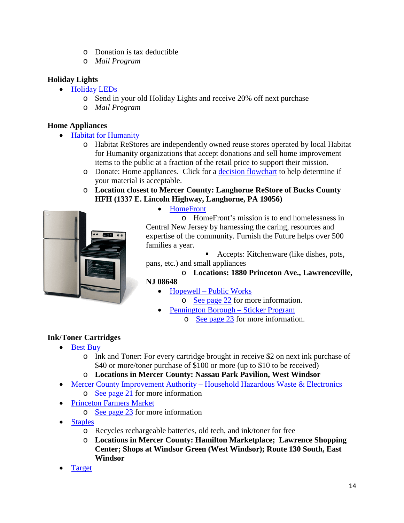- o Donation is tax deductible
- o *Mail Program*

#### **Holiday Lights**

- [Holiday LEDs](https://www.holidayleds.com/christmas-light-recycling-program.aspx)
	- o Send in your old Holiday Lights and receive 20% off next purchase
	- o *Mail Program*

#### **Home Appliances**

- [Habitat for Humanity](https://www.habitat.org/restores/donate-goods)
	- o Habitat ReStores are independently owned reuse stores operated by local Habitat for Humanity organizations that accept donations and sell home improvement items to the public at a fraction of the retail price to support their mission.
	- o Donate: Home appliances. Click for a [decision flowchart](https://www.habitat.org/stories/should-i-donate-habitat-restore) to help determine if your material is acceptable.
	- o **Location closest to Mercer County: Langhorne ReStore of Bucks County HFH (1337 E. Lincoln Highway, Langhorne, PA 19056)**



• [HomeFront](https://www.homefrontnj.org/)

o HomeFront's mission is to end homelessness in Central New Jersey by harnessing the caring, resources and expertise of the community. Furnish the Future helps over 500 families a year.

■ Accepts: Kitchenware (like dishes, pots, pans, etc.) and small appliances

### o **Locations: 1880 Princeton Ave., Lawrenceville,**

**NJ 08648**

• Hopewell – [Public Works](https://www.hopewelltwp.org/173/Public-Works)

o [See page](#page-22-1) 22 for more information.

- [Pennington Borough –](https://www.penningtonboro.org/notices/2019-Trash-Recycling-Info.pdf) Sticker Program
	- o [See page](#page-23-2) 23 for more information.

### **Ink/Toner Cartridges**

- [Best Buy](https://www.bestbuy.com/site/services/recycling/pcmcat149900050025.c?id=pcmcat149900050025)
	- o Ink and Toner: For every cartridge brought in receive \$2 on next ink purchase of \$40 or more/toner purchase of \$100 or more (up to \$10 to be received)
	- o **Locations in Mercer County: Nassau Park Pavilion, West Windsor**
- Mercer County Improvement Authority [Household Hazardous Waste & Electronics](http://www.mcianj.org/HHW)
	- o [See page 21](#page-21-0) for more information
- [Princeton Farmers Market](https://www.princetonfarmersmarket.com/)
	- o [See page 23](#page-23-1) for more information
- **[Staples](https://www.staples.com/sbd/cre/marketing/sustainability-center/recycling-services/)** 
	- o Recycles rechargeable batteries, old tech, and ink/toner for free
	- o **Locations in Mercer County: Hamilton Marketplace; Lawrence Shopping Center; Shops at Windsor Green (West Windsor); Route 130 South, East Windsor**
- **[Target](https://targettrade-in.com/online/home/index.rails)**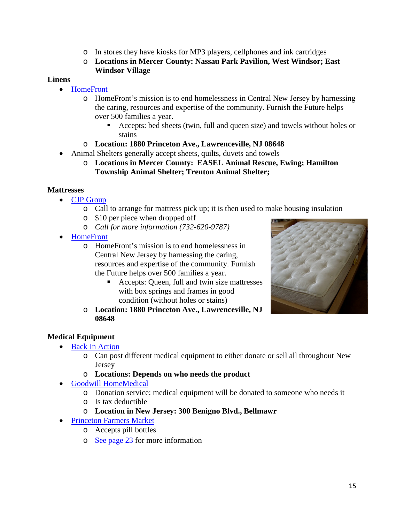- o In stores they have kiosks for MP3 players, cellphones and ink cartridges
- o **Locations in Mercer County: Nassau Park Pavilion, West Windsor; East Windsor Village**

#### **Linens**

- [HomeFront](https://www.homefrontnj.org/)
	- o HomeFront's mission is to end homelessness in Central New Jersey by harnessing the caring, resources and expertise of the community. Furnish the Future helps over 500 families a year.
		- Accepts: bed sheets (twin, full and queen size) and towels without holes or stains
	- o **Location: 1880 Princeton Ave., Lawrenceville, NJ 08648**
- Animal Shelters generally accept sheets, quilts, duvets and towels
	- o **Locations in Mercer County: EASEL Animal Rescue, Ewing; Hamilton Township Animal Shelter; Trenton Animal Shelter;**

#### **Mattresses**

- [CJP Group](http://cjpgroup.net/)
	- o Call to arrange for mattress pick up; it is then used to make housing insulation
	- o \$10 per piece when dropped off
	- o *Call for more information (732-620-9787)*
- [HomeFront](https://www.homefrontnj.org/)
	- o HomeFront's mission is to end homelessness in Central New Jersey by harnessing the caring, resources and expertise of the community. Furnish the Future helps over 500 families a year.
		- Accepts: Queen, full and twin size mattresses with box springs and frames in good condition (without holes or stains)
	- o **Location: 1880 Princeton Ave., Lawrenceville, NJ 08648**



#### **Medical Equipment**

- [Back In Action](http://backinaction.drnj.org/faq.php#Q9)
	- o Can post different medical equipment to either donate or sell all throughout New **Jersey**
	- o **Locations: Depends on who needs the product**
- [Goodwill HomeMedical](http://www.goodwillhomemedical.org/)
	- o Donation service; medical equipment will be donated to someone who needs it
	- o Is tax deductible
	- o **Location in New Jersey: 300 Benigno Blvd., Bellmawr**
- [Princeton Farmers Market](https://www.princetonfarmersmarket.com/)
	- o Accepts pill bottles
	- o [See page](#page-23-1) 23 for more information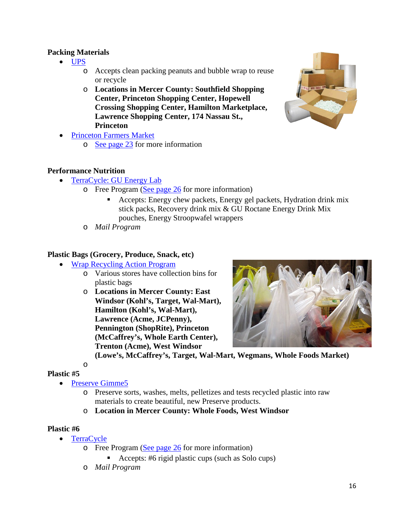#### **Packing Materials**

- [UPS](https://www.ups.com/us/en/help-center/sri/eco-responsible-upsstore-loc.page)
	- o Accepts clean packing peanuts and bubble wrap to reuse or recycle
	- o **Locations in Mercer County: Southfield Shopping Center, Princeton Shopping Center, Hopewell Crossing Shopping Center, Hamilton Marketplace, Lawrence Shopping Center, 174 Nassau St., Princeton**
- [Princeton Farmers Market](https://www.princetonfarmersmarket.com/)
	- o [See page](#page-23-1) 23 for more information

#### **Performance Nutrition**

- [TerraCycle:](https://www.terracycle.com/en-US/brigades/performance-nutrition-brigade) GU Energy Lab
	- o Free Program [\(See page 26](#page-26-0) for more information)
		- Accepts: Energy chew packets, Energy gel packets, Hydration drink mix stick packs, Recovery drink mix & GU Roctane Energy Drink Mix pouches, Energy Stroopwafel wrappers
	- o *Mail Program*

#### **Plastic Bags (Grocery, Produce, Snack, etc)**

- [Wrap Recycling Action Program](https://www.plasticfilmrecycling.org/)
	- o Various stores have collection bins for plastic bags
	- o **Locations in Mercer County: East Windsor (Kohl's, Target, Wal-Mart), Hamilton (Kohl's, Wal-Mart), Lawrence (Acme, JCPenny), Pennington (ShopRite), Princeton (McCaffrey's, Whole Earth Center), Trenton (Acme), West Windsor**



**(Lowe's, McCaffrey's, Target, Wal-Mart, Wegmans, Whole Foods Market)** 

 $\Omega$ 

- **Plastic #5**
	- [Preserve Gimme5](https://www.preserve.eco/pages/gimme5-overview)
		- o Preserve sorts, washes, melts, pelletizes and tests recycled plastic into raw materials to create beautiful, new Preserve products.
		- o **Location in Mercer County: Whole Foods, West Windsor**

#### **Plastic #6**

- [TerraCycle](https://www.terracycle.com/en-US/brigades/solo-r-cup-brigade-r)
	- o Free Program [\(See page 26](#page-26-0) for more information)
		- Accepts: #6 rigid plastic cups (such as Solo cups)
	- o *Mail Program*

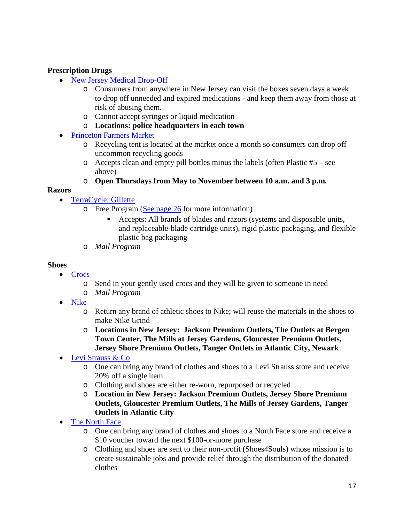#### **Prescription Drugs**

- [New Jersey Medical Drop-Off](https://www.njconsumeraffairs.gov/meddrop/Pages/Locations.aspx#Mercer)
	- o Consumers from anywhere in New Jersey can visit the boxes seven days a week to drop off unneeded and expired medications - and keep them away from those at risk of abusing them.
	- o Cannot accept syringes or liquid medication
	- o **Locations: police headquarters in each town**
- [Princeton Farmers Market](https://www.princetonfarmersmarket.com/)
	- o Recycling tent is located at the market once a month so consumers can drop off uncommon recycling goods
	- o Accepts clean and empty pill bottles minus the labels (often Plastic #5 see above)
	- o **Open Thursdays from May to November between 10 a.m. and 3 p.m.**

#### **Razors**

- [TerraCycle: Gillette](https://www.terracycle.com/en-US/brigades/gillette)
	- $\circ$  Free Program [\(See page 26](#page-26-0) for more information)
		- Accepts: All brands of blades and razors (systems and disposable units, and replaceable-blade cartridge units), rigid plastic packaging, and flexible plastic bag packaging
	- o *Mail Program*

#### **Shoes**

- [Crocs](https://www.crocs.com/crocs-inc-and-soles4souls/)
	- o Send in your gently used crocs and they will be given to someone in need
	- o *Mail Program*
- [Nike](https://www.nike.com/help/a/recycle-shoes)
	- o Return any brand of athletic shoes to Nike; will reuse the materials in the shoes to make Nike Grind
	- o **Locations in New Jersey: Jackson Premium Outlets, The Outlets at Bergen Town Center, The Mills at Jersey Gardens, Gloucester Premium Outlets, Jersey Shore Premium Outlets, Tanger Outlets in Atlantic City, Newark**
- [Levi Strauss & Co](https://www.levistrauss.com/2015/07/21/clothing-recycling-us-expansion/)
	- o One can bring any brand of clothes and shoes to a Levi Strauss store and receive 20% off a single item
	- o Clothing and shoes are either re-worn, repurposed or recycled
	- o **Location in New Jersey: Jackson Premium Outlets, Jersey Shore Premium Outlets, Gloucester Premium Outlets, The Mills of Jersey Gardens, Tanger Outlets in Atlantic City**
- [The North Face](https://www.thenorthface.com/about-us/responsibility/product/clothes-the-loop.html)
	- o One can bring any brand of clothes and shoes to a North Face store and receive a \$10 voucher toward the next \$100-or-more purchase
	- o Clothing and shoes are sent to their non-profit (Shoes4Souls) whose mission is to create sustainable jobs and provide relief through the distribution of the donated clothes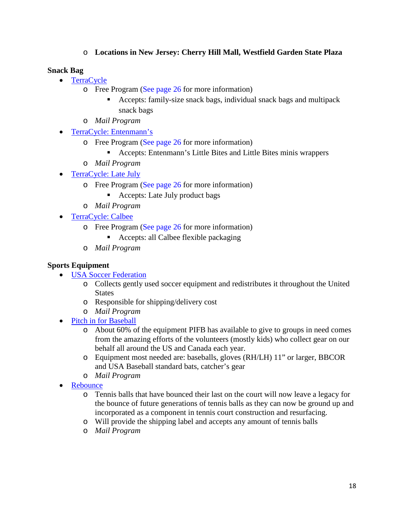#### o **Locations in New Jersey: Cherry Hill Mall, Westfield Garden State Plaza**

#### **Snack Bag**

- [TerraCycle](https://www.terracycle.com/en-US/brigades/haincelestial)
	- o Free Program [\(See page 26](#page-26-0) for more information)
		- Accepts: family-size snack bags, individual snack bags and multipack snack bags
	- o *Mail Program*
- [TerraCycle: Entenmann's](https://www.terracycle.com/en-US/brigades/entenmanns-little-bites-pouch-brigade)
	- o Free Program [\(See page 26](#page-26-0) for more information)
		- Accepts: Entenmann's Little Bites and Little Bites minis wrappers
	- o *Mail Program*
- [TerraCycle: Late July](https://www.terracycle.com/en-US/brigades/latejulysnacks)
	- o Free Program [\(See page 26](#page-26-0) for more information)
		- Accepts: Late July product bags
	- o *Mail Program*
- [TerraCycle: Calbee](https://www.terracycle.com/en-US/brigades/calbee)
	- o Free Program [\(See page 26](#page-26-0) for more information)
		- Accepts: all Calbee flexible packaging
	- o *Mail Program*

#### **Sports Equipment**

- [USA Soccer Federation](https://ussoccerfoundation.org/programs/passback)
	- o Collects gently used soccer equipment and redistributes it throughout the United **States**
	- o Responsible for shipping/delivery cost
	- o *Mail Program*
- [Pitch in for Baseball](https://pifb.org/how-to-help/donate-equipment/)
	- o About 60% of the equipment PIFB has available to give to groups in need comes from the amazing efforts of the volunteers (mostly kids) who collect gear on our behalf all around the US and Canada each year.
	- o Equipment most needed are: baseballs, gloves (RH/LH) 11" or larger, BBCOR and USA Baseball standard bats, catcher's gear
	- o *Mail Program*
- **[Rebounce](https://rebounces.com/about-us/recycle-tennis-balls/)** 
	- o Tennis balls that have bounced their last on the court will now leave a legacy for the bounce of future generations of tennis balls as they can now be ground up and incorporated as a component in tennis court construction and resurfacing.
	- o Will provide the shipping label and accepts any amount of tennis balls
	- o *Mail Program*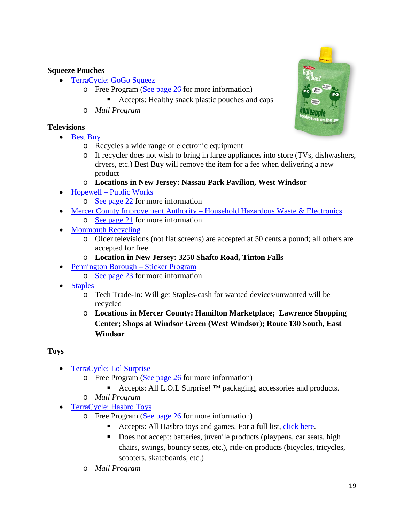#### **Squeeze Pouches**

- [TerraCycle:](https://www.terracycle.com/en-US/brigades/gogo-squeeztm-brigade) GoGo Squeez
	- o Free Program [\(See page 26](#page-26-0) for more information)
		- Accepts: Healthy snack plastic pouches and caps
	- o *Mail Program*

#### **Televisions**

- [Best Buy](https://www.bestbuy.com/site/services/recycling/pcmcat149900050025.c?id=pcmcat149900050025)
	- o Recycles a wide range of electronic equipment
	- o If recycler does not wish to bring in large appliances into store (TVs, dishwashers, dryers, etc.) Best Buy will remove the item for a fee when delivering a new product
	- o **Locations in New Jersey: Nassau Park Pavilion, West Windsor**
- Hopewell [Public Works](https://www.hopewelltwp.org/173/Public-Works)
	- o [See page](#page-22-1) 22 for more information
- Mercer County Improvement Authority [Household Hazardous Waste & Electronics](http://www.mcianj.org/HHW)
	- o [See page](#page-21-0) 21 for more information
- [Monmouth Recycling](http://www.computerreclamation.com/)
	- o Older televisions (not flat screens) are accepted at 50 cents a pound; all others are accepted for free
	- o **Location in New Jersey: 3250 Shafto Road, Tinton Falls**
- [Pennington Borough –](https://www.penningtonboro.org/notices/2019-Trash-Recycling-Info.pdf) Sticker Program
	- o [See page 23](#page-23-2) for more information
- [Staples](https://www.staples.com/sbd/cre/marketing/sustainability-center/recycling-services/)
	- o Tech Trade-In: Will get Staples-cash for wanted devices/unwanted will be recycled
	- o **Locations in Mercer County: Hamilton Marketplace; Lawrence Shopping Center; Shops at Windsor Green (West Windsor); Route 130 South, East Windsor**

### **Toys**

- [TerraCycle:](https://www.terracycle.com/en-US/brigades/lol-surprise) Lol Surprise
	- o Free Program [\(See page 26](#page-26-0) for more information)
		- Accepts: All L.O.L Surprise! ™ packaging, accessories and products.
	- o *Mail Program*
- [TerraCycle:](https://www.terracycle.com/en-US/brigades/hasbro) Hasbro Toys
	- o Free Program [\(See page 26](#page-26-0) for more information)
		- Accepts: All Hasbro toys and games. For a full list, [click here.](https://s3.amazonaws.com/tc-global-prod/download_resources/us/downloads/3667/Hasbro_Toy_list_04032018_Final.pdf)
		- Does not accept: batteries, juvenile products (playpens, car seats, high chairs, swings, bouncy seats, etc.), ride-on products (bicycles, tricycles, scooters, skateboards, etc.)
	- o *Mail Program*

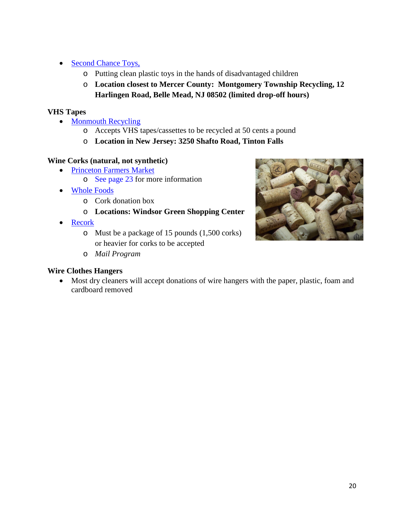- [Second Chance Toys,](http://www.secondchancetoys.org/)
	- o Putting clean plastic toys in the hands of disadvantaged children
	- o **Location closest to Mercer County: Montgomery Township Recycling, 12 Harlingen Road, Belle Mead, NJ 08502 (limited drop-off hours)**

#### **VHS Tapes**

- [Monmouth Recycling](http://www.computerreclamation.com/)
	- o Accepts VHS tapes/cassettes to be recycled at 50 cents a pound
	- o **Location in New Jersey: 3250 Shafto Road, Tinton Falls**

### **Wine Corks (natural, not synthetic)**

- [Princeton Farmers Market](https://www.princetonfarmersmarket.com/)
	- o [See page](#page-23-1) 23 for more information
- [Whole Foods](http://www.wholefoodsmarket.com/)
	- o Cork donation box
	- o **Locations: Windsor Green Shopping Center**
- [Recork](https://recork.com/us/en/faq)
	- o Must be a package of 15 pounds (1,500 corks) or heavier for corks to be accepted
	- o *Mail Program*

### **Wire Clothes Hangers**

- 
- Most dry cleaners will accept donations of wire hangers with the paper, plastic, foam and cardboard removed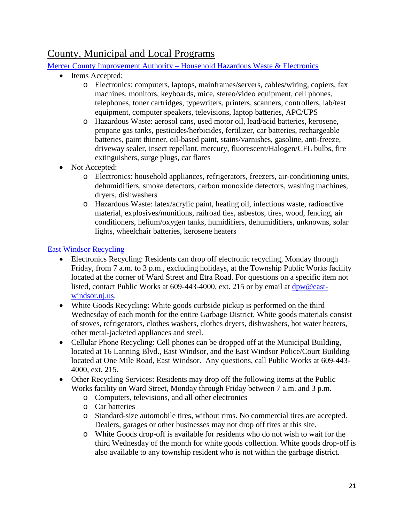## <span id="page-21-0"></span>County, Municipal and Local Programs

Mercer County Improvement Authority – [Household Hazardous Waste & Electronics](http://www.mcianj.org/HHW)

- Items Accepted:
	- o Electronics: computers, laptops, mainframes/servers, cables/wiring, copiers, fax machines, monitors, keyboards, mice, stereo/video equipment, cell phones, telephones, toner cartridges, typewriters, printers, scanners, controllers, lab/test equipment, computer speakers, televisions, laptop batteries, APC/UPS
	- o Hazardous Waste: aerosol cans, used motor oil, lead/acid batteries, kerosene, propane gas tanks, pesticides/herbicides, fertilizer, car batteries, rechargeable batteries, paint thinner, oil-based paint, stains/varnishes, gasoline, anti-freeze, driveway sealer, insect repellant, mercury, fluorescent/Halogen/CFL bulbs, fire extinguishers, surge plugs, car flares
- Not Accepted:
	- o Electronics: household appliances, refrigerators, freezers, air-conditioning units, dehumidifiers, smoke detectors, carbon monoxide detectors, washing machines, dryers, dishwashers
	- o Hazardous Waste: latex/acrylic paint, heating oil, infectious waste, radioactive material, explosives/munitions, railroad ties, asbestos, tires, wood, fencing, air conditioners, helium/oxygen tanks, humidifiers, dehumidifiers, unknowns, solar lights, wheelchair batteries, kerosene heaters

#### [East Windsor Recycling](https://www.east-windsor.nj.us/recycling-1)

- Electronics Recycling: Residents can drop off electronic recycling, Monday through Friday, from 7 a.m. to 3 p.m., excluding holidays, at the Township Public Works facility located at the corner of Ward Street and Etra Road. For questions on a specific item not listed, contact Public Works at 609-443-4000, ext. 215 or by email at [dpw@east](mailto:dpw@east-windsor.nj.us)[windsor.nj.us.](mailto:dpw@east-windsor.nj.us)
- White Goods Recycling: White goods curbside pickup is performed on the third Wednesday of each month for the entire Garbage District. White goods materials consist of stoves, refrigerators, clothes washers, clothes dryers, dishwashers, hot water heaters, other metal-jacketed appliances and steel.
- Cellular Phone Recycling: Cell phones can be dropped off at the Municipal Building, located at 16 Lanning Blvd., East Windsor, and the East Windsor Police/Court Building located at One Mile Road, East Windsor. Any questions, call Public Works at 609-443- 4000, ext. 215.
- Other Recycling Services: Residents may drop off the following items at the Public Works facility on Ward Street, Monday through Friday between 7 a.m. and 3 p.m.
	- o Computers, televisions, and all other electronics
	- o Car batteries
	- o Standard-size automobile tires, without rims. No commercial tires are accepted. Dealers, garages or other businesses may not drop off tires at this site.
	- o White Goods drop-off is available for residents who do not wish to wait for the third Wednesday of the month for white goods collection. White goods drop-off is also available to any township resident who is not within the garbage district.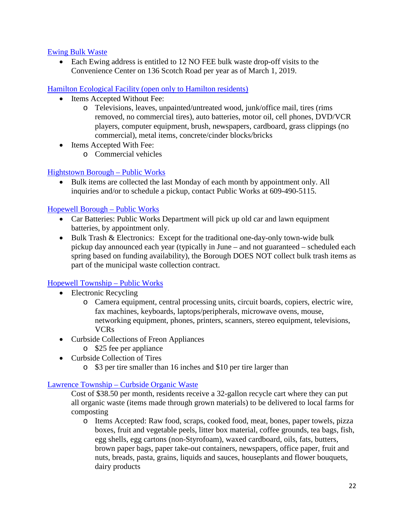#### [Ewing Bulk Waste](https://www.ewingnj.org/brush-and-bulk-waste)

• Each Ewing address is entitled to 12 NO FEE bulk waste drop-off visits to the Convenience Center on 136 Scotch Road per year as of March 1, 2019.

#### <span id="page-22-0"></span>[Hamilton Ecological Facility \(open only to Hamilton residents\)](http://www.hamiltonnj.com/content/228309/231180/default.aspx)

- Items Accepted Without Fee:
	- o Televisions, leaves, unpainted/untreated wood, junk/office mail, tires (rims removed, no commercial tires), auto batteries, motor oil, cell phones, DVD/VCR players, computer equipment, brush, newspapers, cardboard, grass clippings (no commercial), metal items, concrete/cinder blocks/bricks
- Items Accepted With Fee:
	- o Commercial vehicles

#### [Hightstown Borough](https://www.hightstownborough.com/public-works/) – Public Works

• Bulk items are collected the last Monday of each month by appointment only. All inquiries and/or to schedule a pickup, contact Public Works at 609-490-5115.

#### [Hopewell Borough –](https://www.hopewellboro-nj.us/departments/public-works/) Public Works

- Car Batteries: Public Works Department will pick up old car and lawn equipment batteries, by appointment only.
- Bulk Trash & Electronics: Except for the traditional one-day-only town-wide bulk pickup day announced each year (typically in June – and not guaranteed – scheduled each spring based on funding availability), the Borough DOES NOT collect bulk trash items as part of the municipal waste collection contract.

#### <span id="page-22-1"></span>Hopewell Township – [Public Works](https://www.hopewelltwp.org/173/Public-Works)

- Electronic Recycling
	- o Camera equipment, central processing units, circuit boards, copiers, electric wire, fax machines, keyboards, laptops/peripherals, microwave ovens, mouse, networking equipment, phones, printers, scanners, stereo equipment, televisions, VCRs
- Curbside Collections of Freon Appliances
	- o \$25 fee per appliance
- Curbside Collection of Tires
	- o \$3 per tire smaller than 16 inches and \$10 per tire larger than

#### Lawrence Township – [Curbside Organic Waste](http://www.lawrencetwp.com/pw-organicwaste.html)

Cost of \$38.50 per month, residents receive a 32-gallon recycle cart where they can put all organic waste (items made through grown materials) to be delivered to local farms for composting

o Items Accepted: Raw food, scraps, cooked food, meat, bones, paper towels, pizza boxes, fruit and vegetable peels, litter box material, coffee grounds, tea bags, fish, egg shells, egg cartons (non-Styrofoam), waxed cardboard, oils, fats, butters, brown paper bags, paper take-out containers, newspapers, office paper, fruit and nuts, breads, pasta, grains, liquids and sauces, houseplants and flower bouquets, dairy products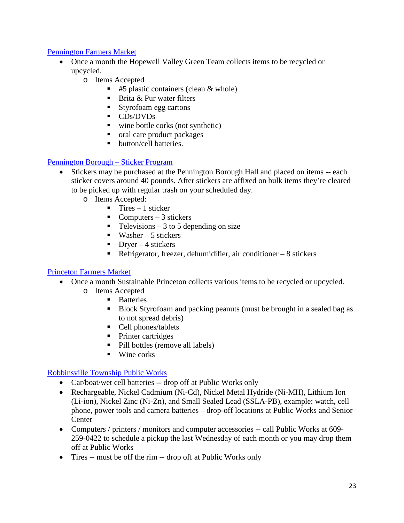#### <span id="page-23-0"></span>Pennington Farmers Market

- Once a month the Hopewell Valley Green Team collects items to be recycled or upcycled.
	- o Items Accepted
		- $\blacksquare$  #5 plastic containers (clean & whole)
		- **Brita & Pur water filters**
		- Styrofoam egg cartons
		- **CDs/DVDs**
		- wine bottle corks (not synthetic)
		- oral care product packages
		- button/cell batteries.

#### <span id="page-23-2"></span>[Pennington Borough –](https://www.penningtonboro.org/notices/2019-Trash-Recycling-Info.pdf) Sticker Program

- Stickers may be purchased at the Pennington Borough Hall and placed on items -- each sticker covers around 40 pounds. After stickers are affixed on bulk items they're cleared to be picked up with regular trash on your scheduled day.
	- o Items Accepted:
		- $\blacksquare$  Tires 1 sticker
		- Computers  $-3$  stickers
		- $\blacksquare$  Televisions 3 to 5 depending on size
		- $\blacksquare$  Washer 5 stickers
		- $\blacksquare$  Dryer 4 stickers
		- Refrigerator, freezer, dehumidifier, air conditioner  $-8$  stickers

#### <span id="page-23-1"></span>[Princeton Farmers Market](https://www.sustainableprinceton.org/farmers-market)

- Once a month Sustainable Princeton collects various items to be recycled or upcycled.
	- o Items Accepted
		- **Batteries**
		- Block Styrofoam and packing peanuts (must be brought in a sealed bag as to not spread debris)
		- Cell phones/tablets
		- Printer cartridges
		- Pill bottles (remove all labels)
		- $\blacksquare$  Wine corks

#### [Robbinsville Township](http://www.robbinsville-twp.org/departments/public_works/how_do_i_dispose_of.php) Public Works

- Car/boat/wet cell batteries -- drop off at Public Works only
- Rechargeable, Nickel Cadmium (Ni-Cd), Nickel Metal Hydride (Ni-MH), Lithium Ion (Li-ion), Nickel Zinc (Ni-Zn), and Small Sealed Lead (SSLA-PB), example: watch, cell phone, power tools and camera batteries – drop-off locations at Public Works and Senior **Center**
- Computers / printers / monitors and computer accessories -- call Public Works at 609-259-0422 to schedule a pickup the last Wednesday of each month or you may drop them off at Public Works
- Tires -- must be off the rim -- drop off at Public Works only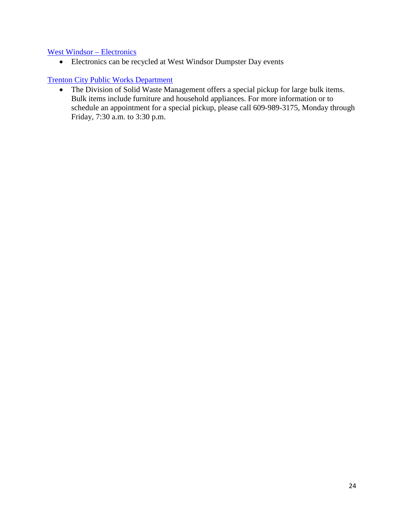#### [West Windsor –](https://www.westwindsornj.org/recycling_main.html) Electronics

• Electronics can be recycled at West Windsor Dumpster Day events

#### [Trenton City Public Works Department](http://www.trentonnj.org/Cit-e-Access/webpage.cfm?TID=55&TPID=6640)

• The Division of Solid Waste Management offers a special pickup for large bulk items. Bulk items include furniture and household appliances. For more information or to schedule an appointment for a special pickup, please call 609-989-3175, Monday through Friday, 7:30 a.m. to 3:30 p.m.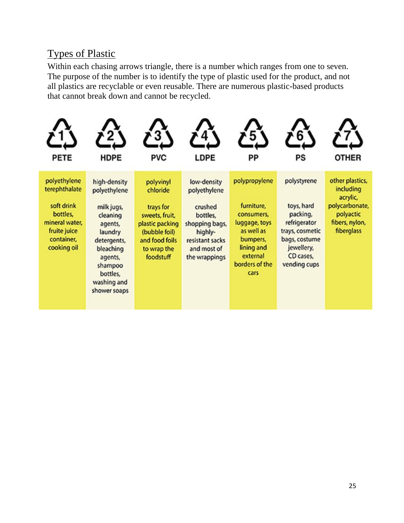## <span id="page-25-0"></span>Types of Plastic

Within each chasing arrows triangle, there is a number which ranges from one to seven. The purpose of the number is to identify the type of plastic used for the product, and not all plastics are recyclable or even reusable. There are numerous plastic-based products that cannot break down and cannot be recycled.

<span id="page-25-1"></span>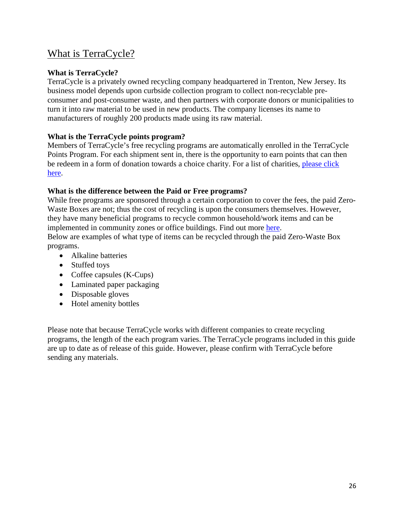## <span id="page-26-0"></span>What is TerraCycle?

#### **What is TerraCycle?**

TerraCycle is a privately owned recycling company headquartered in Trenton, New Jersey. Its business model depends upon curbside collection program to collect non-recyclable preconsumer and post-consumer waste, and then partners with corporate donors or municipalities to turn it into raw material to be used in new products. The company licenses its name to manufacturers of roughly 200 products made using its raw material.

#### **What is the TerraCycle points program?**

Members of TerraCycle's free recycling programs are automatically enrolled in the TerraCycle Points Program. For each shipment sent in, there is the opportunity to earn points that can then be redeem in a form of donation towards a choice charity. For a list of charities, [please click](https://www.terracycle.com/en-US/redeem)  [here.](https://www.terracycle.com/en-US/redeem)

#### **What is the difference between the Paid or Free programs?**

While free programs are sponsored through a certain corporation to cover the fees, the paid Zero-Waste Boxes are not; thus the cost of recycling is upon the consumers themselves. However, they have many beneficial programs to recycle common household/work items and can be implemented in community zones or office buildings. Find out more [here.](https://www.terracycle.com/en-US/zero_waste_boxes) Below are examples of what type of items can be recycled through the paid Zero-Waste Box programs.

- Alkaline batteries
- Stuffed toys
- Coffee capsules (K-Cups)
- Laminated paper packaging
- Disposable gloves
- Hotel amenity bottles

Please note that because TerraCycle works with different companies to create recycling programs, the length of the each program varies. The TerraCycle programs included in this guide are up to date as of release of this guide. However, please confirm with TerraCycle before sending any materials.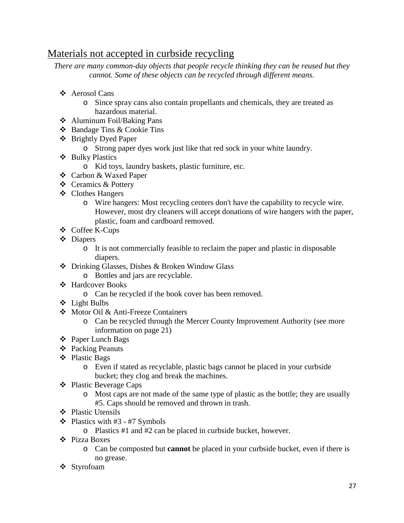## <span id="page-27-0"></span>Materials not accepted in curbside recycling

*There are many common-day objects that people recycle thinking they can be reused but they cannot. Some of these objects can be recycled through different means.*

- Aerosol Cans
	- o Since spray cans also contain propellants and chemicals, they are treated as hazardous material.
- Aluminum Foil/Baking Pans
- Bandage Tins & Cookie Tins
- Brightly Dyed Paper
	- o Strong paper dyes work just like that red sock in your white laundry.
- ❖ Bulky Plastics
	- o Kid toys, laundry baskets, plastic furniture, etc.
- Carbon & Waxed Paper
- ❖ Ceramics & Pottery
- Clothes Hangers
	- o Wire hangers: Most recycling centers don't have the capability to recycle wire. However, most dry cleaners will accept donations of wire hangers with the paper, plastic, foam and cardboard removed.
- Coffee K-Cups
- Diapers
	- o It is not commercially feasible to reclaim the paper and plastic in disposable diapers.
- Drinking Glasses, Dishes & Broken Window Glass
	- o Bottles and jars are recyclable.
- Hardcover Books
	- o Can be recycled if the book cover has been removed.
- Light Bulbs
- Motor Oil & Anti-Freeze Containers
	- o Can be recycled through the Mercer County Improvement Authority (see more information on page 21)
- Paper Lunch Bags
- ❖ Packing Peanuts
- Plastic Bags
	- o Even if stated as recyclable, plastic bags cannot be placed in your curbside bucket; they clog and break the machines.
- Plastic Beverage Caps
	- o Most caps are not made of the same type of plastic as the bottle; they are usually #5. Caps should be removed and thrown in trash.
- ❖ Plastic Utensils
- $\div$  Plastics with #3 #7 Symbols
	- o Plastics #1 and #2 can be placed in curbside bucket, however.
- Pizza Boxes
	- o Can be composted but **cannot** be placed in your curbside bucket, even if there is no grease.
- Styrofoam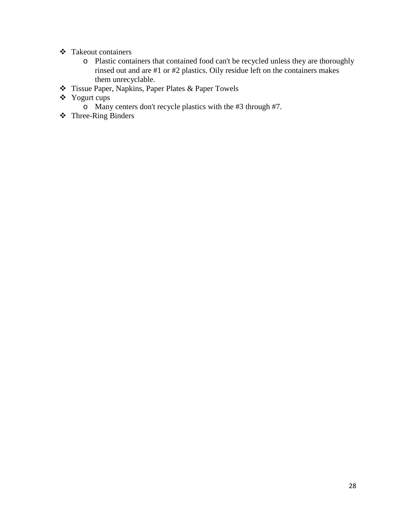- Takeout containers
	- o Plastic containers that contained food can't be recycled unless they are thoroughly rinsed out and are #1 or #2 plastics. Oily residue left on the containers makes them unrecyclable.
- Tissue Paper, Napkins, Paper Plates & Paper Towels
- Yogurt cups
	- o Many centers don't recycle plastics with the #3 through #7.
- Three-Ring Binders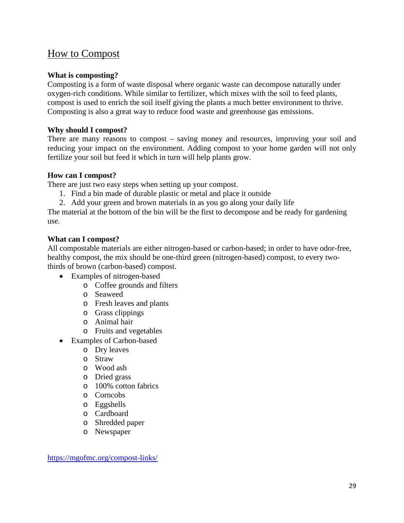## <span id="page-29-0"></span>How to Compost

#### **What is composting?**

Composting is a form of waste disposal where organic waste can decompose naturally under oxygen-rich conditions. While similar to fertilizer, which mixes with the soil to feed plants, compost is used to enrich the soil itself giving the plants a much better environment to thrive. Composting is also a great way to reduce food waste and greenhouse gas emissions.

#### **Why should I compost?**

There are many reasons to compost – saving money and resources, improving your soil and reducing your impact on the environment. Adding compost to your home garden will not only fertilize your soil but feed it which in turn will help plants grow.

#### **How can I compost?**

There are just two easy steps when setting up your compost.

- 1. Find a bin made of durable plastic or metal and place it outside
- 2. Add your green and brown materials in as you go along your daily life

The material at the bottom of the bin will be the first to decompose and be ready for gardening use.

#### **What can I compost?**

All compostable materials are either nitrogen-based or carbon-based; in order to have odor-free, healthy compost, the mix should be one-third green (nitrogen-based) compost, to every twothirds of brown (carbon-based) compost.

- Examples of nitrogen-based
	- o Coffee grounds and filters
	- o Seaweed
	- o Fresh leaves and plants
	- o Grass clippings
	- o Animal hair
	- o Fruits and vegetables
- Examples of Carbon-based
	- o Dry leaves
	- o Straw
	- o Wood ash
	- o Dried grass
	- o 100% cotton fabrics
	- o Corncobs
	- o Eggshells
	- o Cardboard
	- o Shredded paper
	- o Newspaper

<https://mgofmc.org/compost-links/>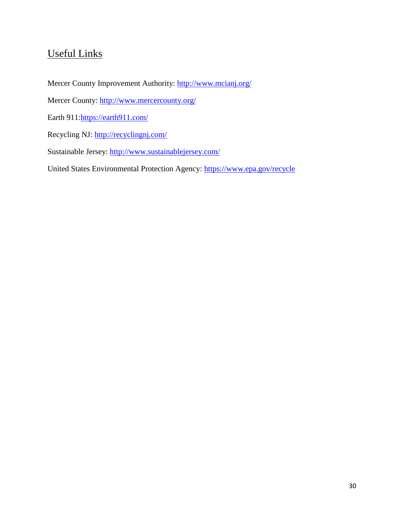## <span id="page-30-0"></span>Useful Links

Mercer County Improvement Authority:<http://www.mcianj.org/>

Mercer County:<http://www.mercercounty.org/>

Earth 911[:https://earth911.com/](https://earth911.com/)

Recycling NJ:<http://recyclingnj.com/>

Sustainable Jersey:<http://www.sustainablejersey.com/>

United States Environmental Protection Agency:<https://www.epa.gov/recycle>